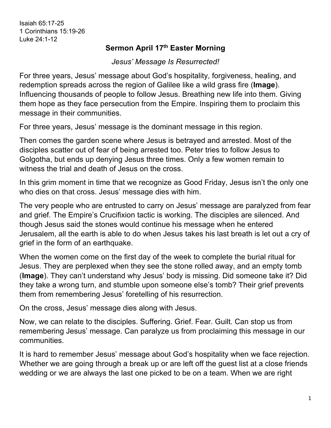## **Sermon April 17th Easter Morning**

*Jesus' Message Is Resurrected!*

For three years, Jesus' message about God's hospitality, forgiveness, healing, and redemption spreads across the region of Galilee like a wild grass fire (**Image**). Influencing thousands of people to follow Jesus. Breathing new life into them. Giving them hope as they face persecution from the Empire. Inspiring them to proclaim this message in their communities.

For three years, Jesus' message is the dominant message in this region.

Then comes the garden scene where Jesus is betrayed and arrested. Most of the disciples scatter out of fear of being arrested too. Peter tries to follow Jesus to Golgotha, but ends up denying Jesus three times. Only a few women remain to witness the trial and death of Jesus on the cross.

In this grim moment in time that we recognize as Good Friday, Jesus isn't the only one who dies on that cross. Jesus' message dies with him.

The very people who are entrusted to carry on Jesus' message are paralyzed from fear and grief. The Empire's Crucifixion tactic is working. The disciples are silenced. And though Jesus said the stones would continue his message when he entered Jerusalem, all the earth is able to do when Jesus takes his last breath is let out a cry of grief in the form of an earthquake.

When the women come on the first day of the week to complete the burial ritual for Jesus. They are perplexed when they see the stone rolled away, and an empty tomb (**Image**). They can't understand why Jesus' body is missing. Did someone take it? Did they take a wrong turn, and stumble upon someone else's tomb? Their grief prevents them from remembering Jesus' foretelling of his resurrection.

On the cross, Jesus' message dies along with Jesus.

Now, we can relate to the disciples. Suffering. Grief. Fear. Guilt. Can stop us from remembering Jesus' message. Can paralyze us from proclaiming this message in our communities.

It is hard to remember Jesus' message about God's hospitality when we face rejection. Whether we are going through a break up or are left off the guest list at a close friends wedding or we are always the last one picked to be on a team. When we are right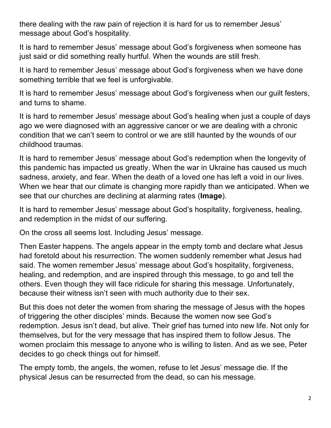there dealing with the raw pain of rejection it is hard for us to remember Jesus' message about God's hospitality.

It is hard to remember Jesus' message about God's forgiveness when someone has just said or did something really hurtful. When the wounds are still fresh.

It is hard to remember Jesus' message about God's forgiveness when we have done something terrible that we feel is unforgivable.

It is hard to remember Jesus' message about God's forgiveness when our guilt festers, and turns to shame.

It is hard to remember Jesus' message about God's healing when just a couple of days ago we were diagnosed with an aggressive cancer or we are dealing with a chronic condition that we can't seem to control or we are still haunted by the wounds of our childhood traumas.

It is hard to remember Jesus' message about God's redemption when the longevity of this pandemic has impacted us greatly. When the war in Ukraine has caused us much sadness, anxiety, and fear. When the death of a loved one has left a void in our lives. When we hear that our climate is changing more rapidly than we anticipated. When we see that our churches are declining at alarming rates (**Image**).

It is hard to remember Jesus' message about God's hospitality, forgiveness, healing, and redemption in the midst of our suffering.

On the cross all seems lost. Including Jesus' message.

Then Easter happens. The angels appear in the empty tomb and declare what Jesus had foretold about his resurrection. The women suddenly remember what Jesus had said. The women remember Jesus' message about God's hospitality, forgiveness, healing, and redemption, and are inspired through this message, to go and tell the others. Even though they will face ridicule for sharing this message. Unfortunately, because their witness isn't seen with much authority due to their sex.

But this does not deter the women from sharing the message of Jesus with the hopes of triggering the other disciples' minds. Because the women now see God's redemption. Jesus isn't dead, but alive. Their grief has turned into new life. Not only for themselves, but for the very message that has inspired them to follow Jesus. The women proclaim this message to anyone who is willing to listen. And as we see, Peter decides to go check things out for himself.

The empty tomb, the angels, the women, refuse to let Jesus' message die. If the physical Jesus can be resurrected from the dead, so can his message.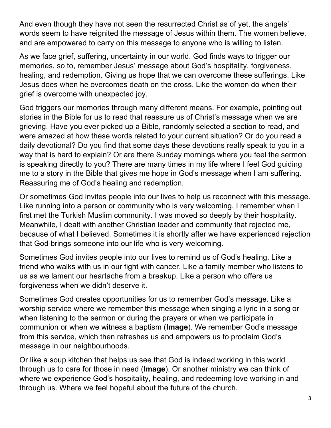And even though they have not seen the resurrected Christ as of yet, the angels' words seem to have reignited the message of Jesus within them. The women believe, and are empowered to carry on this message to anyone who is willing to listen.

As we face grief, suffering, uncertainty in our world. God finds ways to trigger our memories, so to, remember Jesus' message about God's hospitality, forgiveness, healing, and redemption. Giving us hope that we can overcome these sufferings. Like Jesus does when he overcomes death on the cross. Like the women do when their grief is overcome with unexpected joy.

God triggers our memories through many different means. For example, pointing out stories in the Bible for us to read that reassure us of Christ's message when we are grieving. Have you ever picked up a Bible, randomly selected a section to read, and were amazed at how these words related to your current situation? Or do you read a daily devotional? Do you find that some days these devotions really speak to you in a way that is hard to explain? Or are there Sunday mornings where you feel the sermon is speaking directly to you? There are many times in my life where I feel God guiding me to a story in the Bible that gives me hope in God's message when I am suffering. Reassuring me of God's healing and redemption.

Or sometimes God invites people into our lives to help us reconnect with this message. Like running into a person or community who is very welcoming. I remember when I first met the Turkish Muslim community. I was moved so deeply by their hospitality. Meanwhile, I dealt with another Christian leader and community that rejected me, because of what I believed. Sometimes it is shortly after we have experienced rejection that God brings someone into our life who is very welcoming.

Sometimes God invites people into our lives to remind us of God's healing. Like a friend who walks with us in our fight with cancer. Like a family member who listens to us as we lament our heartache from a breakup. Like a person who offers us forgiveness when we didn't deserve it.

Sometimes God creates opportunities for us to remember God's message. Like a worship service where we remember this message when singing a lyric in a song or when listening to the sermon or during the prayers or when we participate in communion or when we witness a baptism (**Image**). We remember God's message from this service, which then refreshes us and empowers us to proclaim God's message in our neighbourhoods.

Or like a soup kitchen that helps us see that God is indeed working in this world through us to care for those in need (**Image**). Or another ministry we can think of where we experience God's hospitality, healing, and redeeming love working in and through us. Where we feel hopeful about the future of the church.